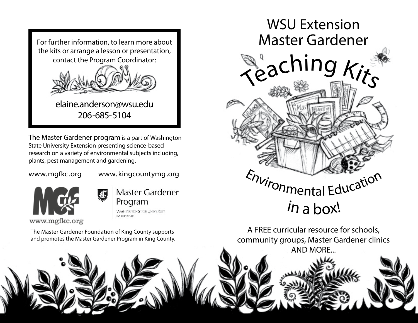

The Master Gardener program is a part of Washington State University Extension presenting science-based research on a variety of environmental subjects including, plants, pest management and gardening.

www.mgfkc.org www.kingcountymg.org



Master Gardener Program **WASHINGTON STATE UNIVERSITY EXTENSION** 

The Master Gardener Foundation of King County supports and promotes the Master Gardener Program in King County.



A FREE curricular resource for schools, community groups, Master Gardener clinics AND MORE...